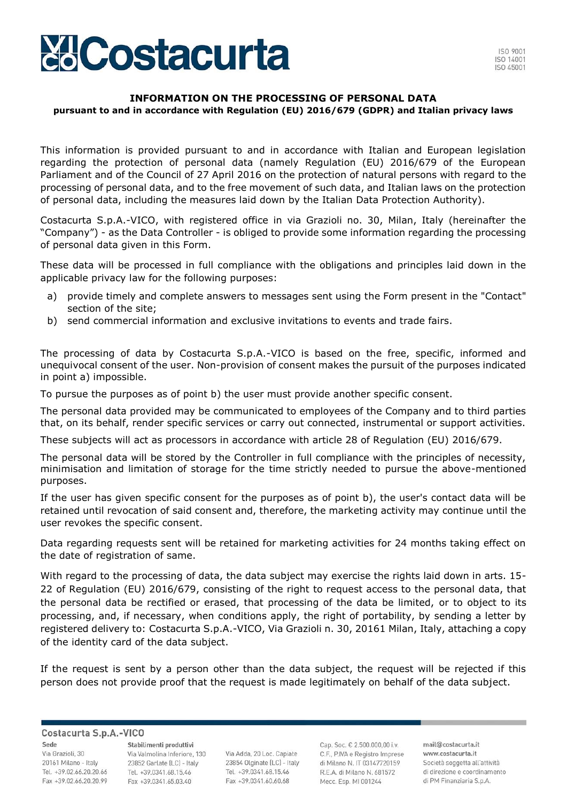

## **INFORMATION ON THE PROCESSING OF PERSONAL DATA pursuant to and in accordance with Regulation (EU) 2016/679 (GDPR) and Italian privacy laws**

This information is provided pursuant to and in accordance with Italian and European legislation regarding the protection of personal data (namely Regulation (EU) 2016/679 of the European Parliament and of the Council of 27 April 2016 on the protection of natural persons with regard to the processing of personal data, and to the free movement of such data, and Italian laws on the protection of personal data, including the measures laid down by the Italian Data Protection Authority).

Costacurta S.p.A.-VICO, with registered office in via Grazioli no. 30, Milan, Italy (hereinafter the "Company") - as the Data Controller - is obliged to provide some information regarding the processing of personal data given in this Form.

These data will be processed in full compliance with the obligations and principles laid down in the applicable privacy law for the following purposes:

- a) provide timely and complete answers to messages sent using the Form present in the "Contact" section of the site;
- b) send commercial information and exclusive invitations to events and trade fairs.

The processing of data by Costacurta S.p.A.-VICO is based on the free, specific, informed and unequivocal consent of the user. Non-provision of consent makes the pursuit of the purposes indicated in point a) impossible.

To pursue the purposes as of point b) the user must provide another specific consent.

The personal data provided may be communicated to employees of the Company and to third parties that, on its behalf, render specific services or carry out connected, instrumental or support activities.

These subjects will act as processors in accordance with article 28 of Regulation (EU) 2016/679.

The personal data will be stored by the Controller in full compliance with the principles of necessity, minimisation and limitation of storage for the time strictly needed to pursue the above-mentioned purposes.

If the user has given specific consent for the purposes as of point b), the user's contact data will be retained until revocation of said consent and, therefore, the marketing activity may continue until the user revokes the specific consent.

Data regarding requests sent will be retained for marketing activities for 24 months taking effect on the date of registration of same.

With regard to the processing of data, the data subject may exercise the rights laid down in arts. 15- 22 of Regulation (EU) 2016/679, consisting of the right to request access to the personal data, that the personal data be rectified or erased, that processing of the data be limited, or to object to its processing, and, if necessary, when conditions apply, the right of portability, by sending a letter by registered delivery to: Costacurta S.p.A.-VICO, Via Grazioli n. 30, 20161 Milan, Italy, attaching a copy of the identity card of the data subject.

If the request is sent by a person other than the data subject, the request will be rejected if this person does not provide proof that the request is made legitimately on behalf of the data subject.

Costacurta S.p.A.-VICO

Sede Via Grazioli, 30 20161 Milano - Italy Tel. +39.02.66.20.20.66 Fax +39.02.66.20.20.99

Stabilimenti produttivi Via Valmolina Inferiore, 130 23852 Garlate (LC) - Italy Tel. +39.0341.68.15.46 Fax +39.0341.65.03.40

Via Adda, 20 Loc. Capiate 23854 Olginate (LC) - Italy Tel. +39.0341.68.15.46 Fax +39,0341,60,60,68

Cap. Soc. € 2.500,000,00 i.v. C.F., P.IVA e Registro Imprese di Milano N. IT 03147720159 R.E.A. di Milano N. 681572 Mecc. Esp. MI 001244

mail@costacurta.it www.costacurta.it Società soggetta all'attività di direzione e coordinamento di PM Finanziaria S.p.A.